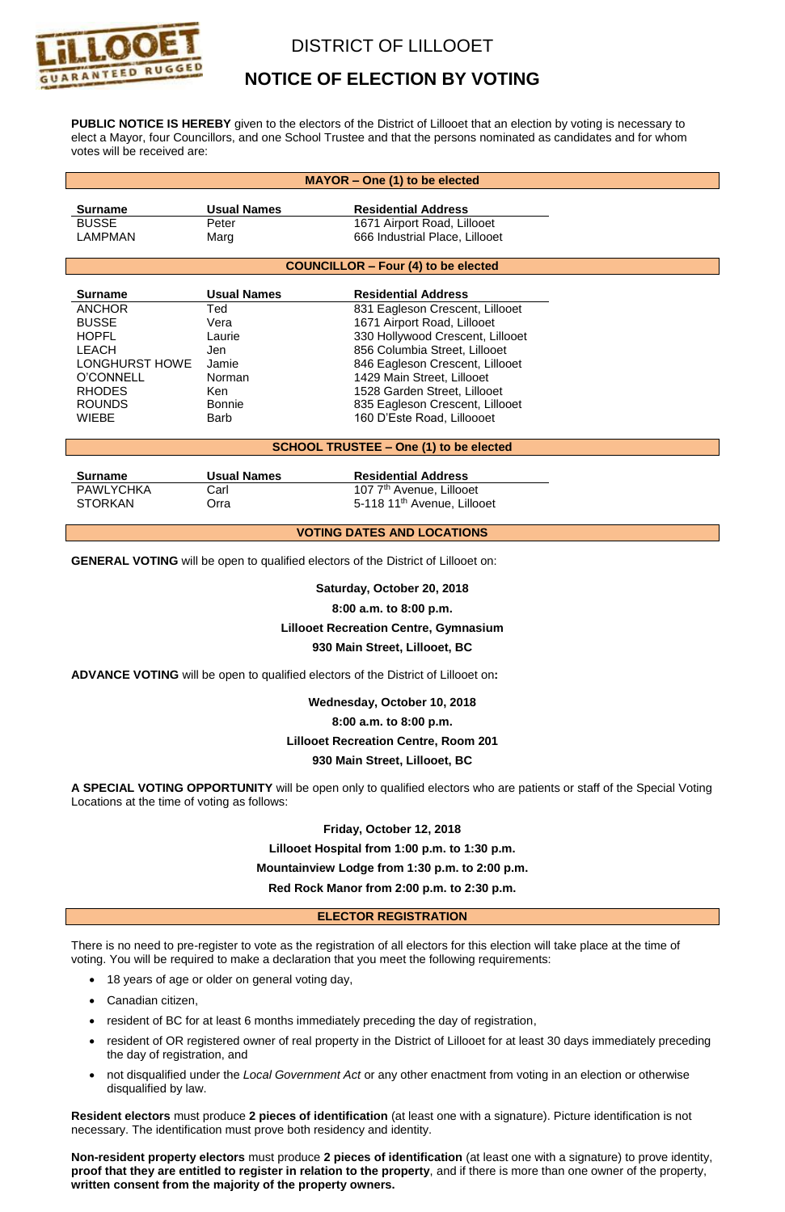

# DISTRICT OF LILLOOET

# **NOTICE OF ELECTION BY VOTING**

**PUBLIC NOTICE IS HEREBY** given to the electors of the District of Lillooet that an election by voting is necessary to elect a Mayor, four Councillors, and one School Trustee and that the persons nominated as candidates and for whom votes will be received are:

| MAYOR - One (1) to be elected                                                            |                    |                                                                                   |
|------------------------------------------------------------------------------------------|--------------------|-----------------------------------------------------------------------------------|
|                                                                                          |                    |                                                                                   |
| <b>Surname</b>                                                                           | <b>Usual Names</b> | <b>Residential Address</b>                                                        |
| <b>BUSSE</b>                                                                             | Peter              | 1671 Airport Road, Lillooet                                                       |
| <b>LAMPMAN</b>                                                                           | Marg               | 666 Industrial Place, Lillooet                                                    |
| <b>COUNCILLOR - Four (4) to be elected</b>                                               |                    |                                                                                   |
|                                                                                          |                    |                                                                                   |
| <b>Surname</b>                                                                           | <b>Usual Names</b> | <b>Residential Address</b>                                                        |
| <b>ANCHOR</b>                                                                            | Ted                | 831 Eagleson Crescent, Lillooet                                                   |
| <b>BUSSE</b>                                                                             | Vera               | 1671 Airport Road, Lillooet                                                       |
| <b>HOPFL</b>                                                                             | Laurie             | 330 Hollywood Crescent, Lillooet                                                  |
| <b>LEACH</b>                                                                             | Jen                | 856 Columbia Street, Lillooet                                                     |
| <b>LONGHURST HOWE</b>                                                                    | Jamie              | 846 Eagleson Crescent, Lillooet                                                   |
| <b>O'CONNELL</b>                                                                         | Norman             | 1429 Main Street, Lillooet                                                        |
| <b>RHODES</b>                                                                            | Ken                | 1528 Garden Street, Lillooet                                                      |
| <b>ROUNDS</b>                                                                            | <b>Bonnie</b>      | 835 Eagleson Crescent, Lillooet                                                   |
| <b>WIEBE</b>                                                                             | <b>Barb</b>        | 160 D'Este Road, Lilloooet                                                        |
|                                                                                          |                    |                                                                                   |
| <b>SCHOOL TRUSTEE - One (1) to be elected</b>                                            |                    |                                                                                   |
| <b>Surname</b>                                                                           | <b>Usual Names</b> | <b>Residential Address</b>                                                        |
| <b>PAWLYCHKA</b>                                                                         | Carl               | 107 7 <sup>th</sup> Avenue, Lillooet                                              |
| <b>STORKAN</b>                                                                           | Orra               | 5-118 11 <sup>th</sup> Avenue, Lillooet                                           |
|                                                                                          |                    |                                                                                   |
| <b>VOTING DATES AND LOCATIONS</b>                                                        |                    |                                                                                   |
|                                                                                          |                    |                                                                                   |
| <b>GENERAL VOTING</b> will be open to qualified electors of the District of Lillooet on: |                    |                                                                                   |
| Saturday, October 20, 2018                                                               |                    |                                                                                   |
| 8:00 a.m. to 8:00 p.m.                                                                   |                    |                                                                                   |
| <b>Lillooet Recreation Centre, Gymnasium</b>                                             |                    |                                                                                   |
|                                                                                          |                    |                                                                                   |
| 930 Main Street, Lillooet, BC                                                            |                    |                                                                                   |
|                                                                                          |                    |                                                                                   |
|                                                                                          |                    | ADVANCE VOTING will be open to qualified electors of the District of Lillooet on: |
|                                                                                          |                    | Wednesday, October 10, 2018                                                       |
|                                                                                          |                    | 8:00 a.m. to 8:00 p.m.                                                            |

### **930 Main Street, Lillooet, BC**

**A SPECIAL VOTING OPPORTUNITY** will be open only to qualified electors who are patients or staff of the Special Voting Locations at the time of voting as follows:

**Friday, October 12, 2018** 

**Lillooet Hospital from 1:00 p.m. to 1:30 p.m.**

**Mountainview Lodge from 1:30 p.m. to 2:00 p.m.**

**Red Rock Manor from 2:00 p.m. to 2:30 p.m.**

#### **ELECTOR REGISTRATION**

There is no need to pre-register to vote as the registration of all electors for this election will take place at the time of voting. You will be required to make a declaration that you meet the following requirements:

- 18 years of age or older on general voting day,
- Canadian citizen,
- resident of BC for at least 6 months immediately preceding the day of registration,
- resident of OR registered owner of real property in the District of Lillooet for at least 30 days immediately preceding the day of registration, and
- not disqualified under the *Local Government Act* or any other enactment from voting in an election or otherwise disqualified by law.

**Resident electors** must produce **2 pieces of identification** (at least one with a signature). Picture identification is not necessary. The identification must prove both residency and identity.

**Non-resident property electors** must produce **2 pieces of identification** (at least one with a signature) to prove identity, **proof that they are entitled to register in relation to the property**, and if there is more than one owner of the property, **written consent from the majority of the property owners.**